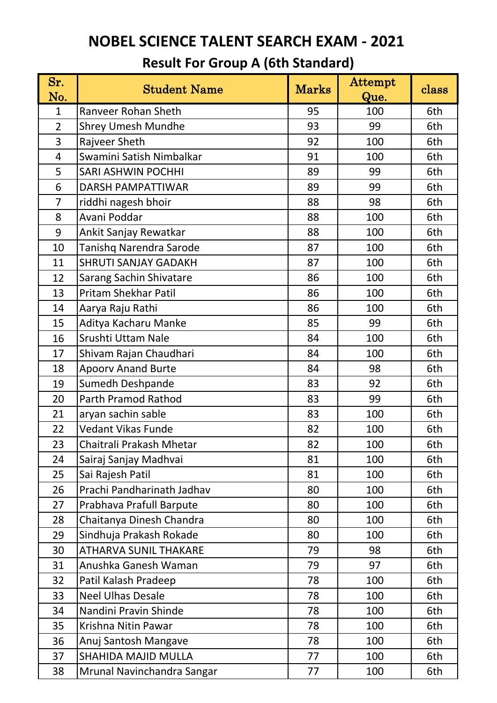| Sr.<br>No.     | <b>Student Name</b>            | <b>Marks</b> | Attempt<br>Que. | class |
|----------------|--------------------------------|--------------|-----------------|-------|
| $\mathbf{1}$   | Ranveer Rohan Sheth            | 95           | 100             | 6th   |
| $\overline{2}$ | <b>Shrey Umesh Mundhe</b>      | 93           | 99              | 6th   |
| 3              | Rajveer Sheth                  | 92           | 100             | 6th   |
| $\overline{4}$ | Swamini Satish Nimbalkar       | 91           | 100             | 6th   |
| 5              | <b>SARI ASHWIN POCHHI</b>      | 89           | 99              | 6th   |
| 6              | <b>DARSH PAMPATTIWAR</b>       | 89           | 99              | 6th   |
| $\overline{7}$ | riddhi nagesh bhoir            | 88           | 98              | 6th   |
| 8              | Avani Poddar                   | 88           | 100             | 6th   |
| 9              | Ankit Sanjay Rewatkar          | 88           | 100             | 6th   |
| 10             | <b>Tanishq Narendra Sarode</b> | 87           | 100             | 6th   |
| 11             | <b>SHRUTI SANJAY GADAKH</b>    | 87           | 100             | 6th   |
| 12             | <b>Sarang Sachin Shivatare</b> | 86           | 100             | 6th   |
| 13             | <b>Pritam Shekhar Patil</b>    | 86           | 100             | 6th   |
| 14             | Aarya Raju Rathi               | 86           | 100             | 6th   |
| 15             | Aditya Kacharu Manke           | 85           | 99              | 6th   |
| 16             | Srushti Uttam Nale             | 84           | 100             | 6th   |
| 17             | Shivam Rajan Chaudhari         | 84           | 100             | 6th   |
| 18             | <b>Apoorv Anand Burte</b>      | 84           | 98              | 6th   |
| 19             | Sumedh Deshpande               | 83           | 92              | 6th   |
| 20             | <b>Parth Pramod Rathod</b>     | 83           | 99              | 6th   |
| 21             | aryan sachin sable             | 83           | 100             | 6th   |
| 22             | Vedant Vikas Funde             | 82           | 100             | 6th   |
| 23             | Chaitrali Prakash Mhetar       | 82           | 100             | 6th   |
| 24             | Sairaj Sanjay Madhvai          | 81           | 100             | 6th   |
| 25             | Sai Rajesh Patil               | 81           | 100             | 6th   |
| 26             | Prachi Pandharinath Jadhav     | 80           | 100             | 6th   |
| 27             | Prabhava Prafull Barpute       | 80           | 100             | 6th   |
| 28             | Chaitanya Dinesh Chandra       | 80           | 100             | 6th   |
| 29             | Sindhuja Prakash Rokade        | 80           | 100             | 6th   |
| 30             | <b>ATHARVA SUNIL THAKARE</b>   | 79           | 98              | 6th   |
| 31             | Anushka Ganesh Waman           | 79           | 97              | 6th   |
| 32             | Patil Kalash Pradeep           | 78           | 100             | 6th   |
| 33             | <b>Neel Ulhas Desale</b>       | 78           | 100             | 6th   |
| 34             | Nandini Pravin Shinde          | 78           | 100             | 6th   |
| 35             | Krishna Nitin Pawar            | 78           | 100             | 6th   |
| 36             | Anuj Santosh Mangave           | 78           | 100             | 6th   |
| 37             | <b>SHAHIDA MAJID MULLA</b>     | 77           | 100             | 6th   |
| 38             | Mrunal Navinchandra Sangar     | 77           | 100             | 6th   |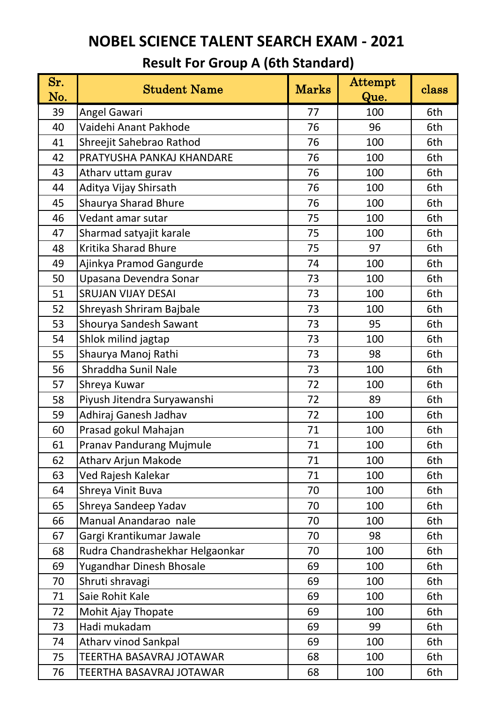| Sr.<br>No. | <b>Student Name</b>             | Marks | Attempt<br>Que. | class |
|------------|---------------------------------|-------|-----------------|-------|
| 39         | Angel Gawari                    | 77    | 100             | 6th   |
| 40         | Vaidehi Anant Pakhode           | 76    | 96              | 6th   |
| 41         | Shreejit Sahebrao Rathod        | 76    | 100             | 6th   |
| 42         | PRATYUSHA PANKAJ KHANDARE       | 76    | 100             | 6th   |
| 43         | Atharv uttam gurav              | 76    | 100             | 6th   |
| 44         | Aditya Vijay Shirsath           | 76    | 100             | 6th   |
| 45         | Shaurya Sharad Bhure            | 76    | 100             | 6th   |
| 46         | Vedant amar sutar               | 75    | 100             | 6th   |
| 47         | Sharmad satyajit karale         | 75    | 100             | 6th   |
| 48         | <b>Kritika Sharad Bhure</b>     | 75    | 97              | 6th   |
| 49         | Ajinkya Pramod Gangurde         | 74    | 100             | 6th   |
| 50         | Upasana Devendra Sonar          | 73    | 100             | 6th   |
| 51         | <b>SRUJAN VIJAY DESAI</b>       | 73    | 100             | 6th   |
| 52         | Shreyash Shriram Bajbale        | 73    | 100             | 6th   |
| 53         | Shourya Sandesh Sawant          | 73    | 95              | 6th   |
| 54         | Shlok milind jagtap             | 73    | 100             | 6th   |
| 55         | Shaurya Manoj Rathi             | 73    | 98              | 6th   |
| 56         | Shraddha Sunil Nale             | 73    | 100             | 6th   |
| 57         | Shreya Kuwar                    | 72    | 100             | 6th   |
| 58         | Piyush Jitendra Suryawanshi     | 72    | 89              | 6th   |
| 59         | Adhiraj Ganesh Jadhav           | 72    | 100             | 6th   |
| 60         | Prasad gokul Mahajan            | 71    | 100             | 6th   |
| 61         | Pranav Pandurang Mujmule        | 71    | 100             | 6th   |
| 62         | Atharv Arjun Makode             | 71    | 100             | 6th   |
| 63         | Ved Rajesh Kalekar              | 71    | 100             | 6th   |
| 64         | Shreya Vinit Buva               | 70    | 100             | 6th   |
| 65         | Shreya Sandeep Yadav            | 70    | 100             | 6th   |
| 66         | Manual Anandarao nale           | 70    | 100             | 6th   |
| 67         | Gargi Krantikumar Jawale        | 70    | 98              | 6th   |
| 68         | Rudra Chandrashekhar Helgaonkar | 70    | 100             | 6th   |
| 69         | Yugandhar Dinesh Bhosale        | 69    | 100             | 6th   |
| 70         | Shruti shravagi                 | 69    | 100             | 6th   |
| 71         | Saie Rohit Kale                 | 69    | 100             | 6th   |
| 72         | Mohit Ajay Thopate              | 69    | 100             | 6th   |
| 73         | Hadi mukadam                    | 69    | 99              | 6th   |
| 74         | <b>Atharv vinod Sankpal</b>     | 69    | 100             | 6th   |
| 75         | TEERTHA BASAVRAJ JOTAWAR        | 68    | 100             | 6th   |
| 76         | TEERTHA BASAVRAJ JOTAWAR        | 68    | 100             | 6th   |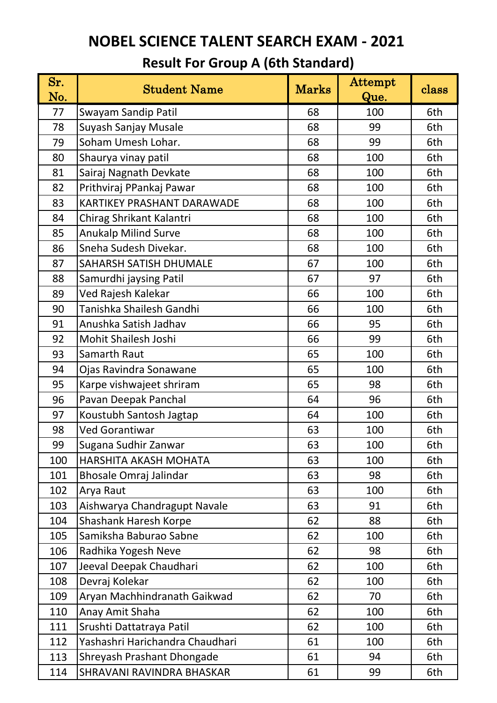| Sr.<br>No. | <b>Student Name</b>               | <b>Marks</b> | Attempt<br>Que. | class |
|------------|-----------------------------------|--------------|-----------------|-------|
| 77         | Swayam Sandip Patil               | 68           | 100             | 6th   |
| 78         | Suyash Sanjay Musale              | 68           | 99              | 6th   |
| 79         | Soham Umesh Lohar.                | 68           | 99              | 6th   |
| 80         | Shaurya vinay patil               | 68           | 100             | 6th   |
| 81         | Sairaj Nagnath Devkate            | 68           | 100             | 6th   |
| 82         | Prithviraj PPankaj Pawar          | 68           | 100             | 6th   |
| 83         | <b>KARTIKEY PRASHANT DARAWADE</b> | 68           | 100             | 6th   |
| 84         | Chirag Shrikant Kalantri          | 68           | 100             | 6th   |
| 85         | <b>Anukalp Milind Surve</b>       | 68           | 100             | 6th   |
| 86         | Sneha Sudesh Divekar.             | 68           | 100             | 6th   |
| 87         | <b>SAHARSH SATISH DHUMALE</b>     | 67           | 100             | 6th   |
| 88         | Samurdhi jaysing Patil            | 67           | 97              | 6th   |
| 89         | Ved Rajesh Kalekar                | 66           | 100             | 6th   |
| 90         | Tanishka Shailesh Gandhi          | 66           | 100             | 6th   |
| 91         | Anushka Satish Jadhav             | 66           | 95              | 6th   |
| 92         | Mohit Shailesh Joshi              | 66           | 99              | 6th   |
| 93         | Samarth Raut                      | 65           | 100             | 6th   |
| 94         | Ojas Ravindra Sonawane            | 65           | 100             | 6th   |
| 95         | Karpe vishwajeet shriram          | 65           | 98              | 6th   |
| 96         | Pavan Deepak Panchal              | 64           | 96              | 6th   |
| 97         | Koustubh Santosh Jagtap           | 64           | 100             | 6th   |
| 98         | <b>Ved Gorantiwar</b>             | 63           | 100             | 6th   |
| 99         | Sugana Sudhir Zanwar              | 63           | 100             | 6th   |
| 100        | HARSHITA AKASH MOHATA             | 63           | 100             | 6th   |
| 101        | Bhosale Omraj Jalindar            | 63           | 98              | 6th   |
| 102        | Arya Raut                         | 63           | 100             | 6th   |
| 103        | Aishwarya Chandragupt Navale      | 63           | 91              | 6th   |
| 104        | <b>Shashank Haresh Korpe</b>      | 62           | 88              | 6th   |
| 105        | Samiksha Baburao Sabne            | 62           | 100             | 6th   |
| 106        | Radhika Yogesh Neve               | 62           | 98              | 6th   |
| 107        | Jeeval Deepak Chaudhari           | 62           | 100             | 6th   |
| 108        | Devraj Kolekar                    | 62           | 100             | 6th   |
| 109        | Aryan Machhindranath Gaikwad      | 62           | 70              | 6th   |
| 110        | Anay Amit Shaha                   | 62           | 100             | 6th   |
| 111        | Srushti Dattatraya Patil          | 62           | 100             | 6th   |
| 112        | Yashashri Harichandra Chaudhari   | 61           | 100             | 6th   |
| 113        | Shreyash Prashant Dhongade        | 61           | 94              | 6th   |
| 114        | SHRAVANI RAVINDRA BHASKAR         | 61           | 99              | 6th   |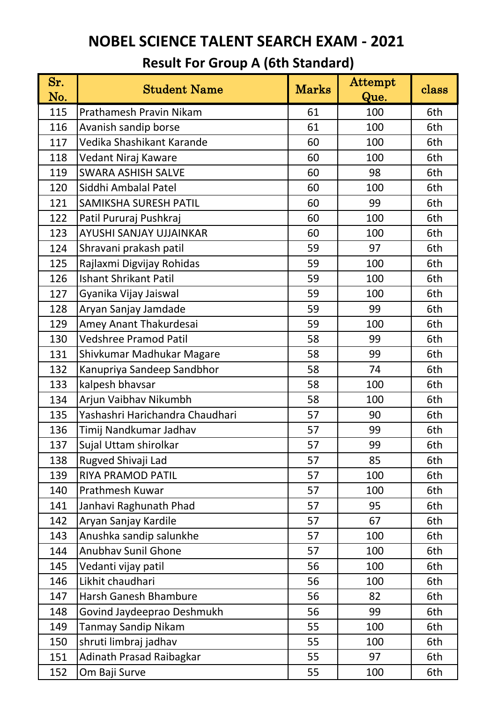| Sr.<br>No. | <b>Student Name</b>             | <b>Marks</b> | Attempt<br>Que. | class |
|------------|---------------------------------|--------------|-----------------|-------|
| 115        | Prathamesh Pravin Nikam         | 61           | 100             | 6th   |
| 116        | Avanish sandip borse            | 61           | 100             | 6th   |
| 117        | Vedika Shashikant Karande       | 60           | 100             | 6th   |
| 118        | Vedant Niraj Kaware             | 60           | 100             | 6th   |
| 119        | <b>SWARA ASHISH SALVE</b>       | 60           | 98              | 6th   |
| 120        | Siddhi Ambalal Patel            | 60           | 100             | 6th   |
| 121        | SAMIKSHA SURESH PATIL           | 60           | 99              | 6th   |
| 122        | Patil Pururaj Pushkraj          | 60           | 100             | 6th   |
| 123        | AYUSHI SANJAY UJJAINKAR         | 60           | 100             | 6th   |
| 124        | Shravani prakash patil          | 59           | 97              | 6th   |
| 125        | Rajlaxmi Digvijay Rohidas       | 59           | 100             | 6th   |
| 126        | <b>Ishant Shrikant Patil</b>    | 59           | 100             | 6th   |
| 127        | Gyanika Vijay Jaiswal           | 59           | 100             | 6th   |
| 128        | Aryan Sanjay Jamdade            | 59           | 99              | 6th   |
| 129        | Amey Anant Thakurdesai          | 59           | 100             | 6th   |
| 130        | <b>Vedshree Pramod Patil</b>    | 58           | 99              | 6th   |
| 131        | Shivkumar Madhukar Magare       | 58           | 99              | 6th   |
| 132        | Kanupriya Sandeep Sandbhor      | 58           | 74              | 6th   |
| 133        | kalpesh bhavsar                 | 58           | 100             | 6th   |
| 134        | Arjun Vaibhav Nikumbh           | 58           | 100             | 6th   |
| 135        | Yashashri Harichandra Chaudhari | 57           | 90              | 6th   |
| 136        | Timij Nandkumar Jadhav          | 57           | 99              | 6th   |
| 137        | Sujal Uttam shirolkar           | 57           | 99              | 6th   |
| 138        | Rugved Shivaji Lad              | 57           | 85              | 6th   |
| 139        | <b>RIYA PRAMOD PATIL</b>        | 57           | 100             | 6th   |
| 140        | Prathmesh Kuwar                 | 57           | 100             | 6th   |
| 141        | Janhavi Raghunath Phad          | 57           | 95              | 6th   |
| 142        | Aryan Sanjay Kardile            | 57           | 67              | 6th   |
| 143        | Anushka sandip salunkhe         | 57           | 100             | 6th   |
| 144        | <b>Anubhav Sunil Ghone</b>      | 57           | 100             | 6th   |
| 145        | Vedanti vijay patil             | 56           | 100             | 6th   |
| 146        | Likhit chaudhari                | 56           | 100             | 6th   |
| 147        | <b>Harsh Ganesh Bhambure</b>    | 56           | 82              | 6th   |
| 148        | Govind Jaydeeprao Deshmukh      | 56           | 99              | 6th   |
| 149        | <b>Tanmay Sandip Nikam</b>      | 55           | 100             | 6th   |
| 150        | shruti limbraj jadhav           | 55           | 100             | 6th   |
| 151        | <b>Adinath Prasad Raibagkar</b> | 55           | 97              | 6th   |
| 152        | Om Baji Surve                   | 55           | 100             | 6th   |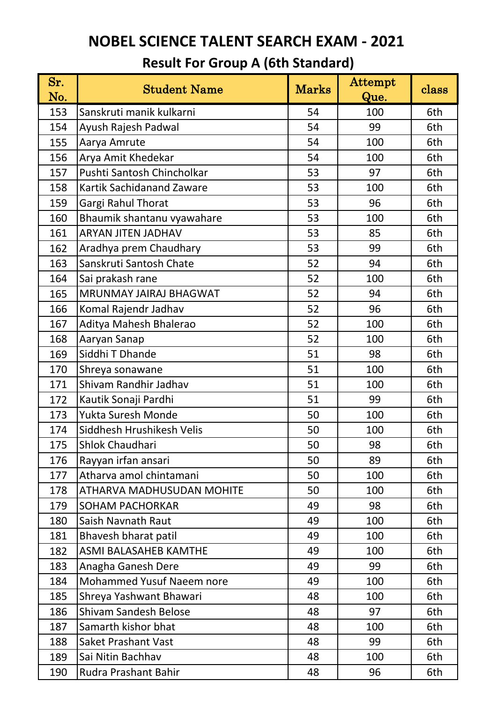| Sr.<br>No. | <b>Student Name</b>              | <b>Marks</b> | Attempt<br>Que. | class |
|------------|----------------------------------|--------------|-----------------|-------|
| 153        | Sanskruti manik kulkarni         | 54           | 100             | 6th   |
| 154        | Ayush Rajesh Padwal              | 54           | 99              | 6th   |
| 155        | Aarya Amrute                     | 54           | 100             | 6th   |
| 156        | Arya Amit Khedekar               | 54           | 100             | 6th   |
| 157        | Pushti Santosh Chincholkar       | 53           | 97              | 6th   |
| 158        | <b>Kartik Sachidanand Zaware</b> | 53           | 100             | 6th   |
| 159        | Gargi Rahul Thorat               | 53           | 96              | 6th   |
| 160        | Bhaumik shantanu vyawahare       | 53           | 100             | 6th   |
| 161        | <b>ARYAN JITEN JADHAV</b>        | 53           | 85              | 6th   |
| 162        | Aradhya prem Chaudhary           | 53           | 99              | 6th   |
| 163        | Sanskruti Santosh Chate          | 52           | 94              | 6th   |
| 164        | Sai prakash rane                 | 52           | 100             | 6th   |
| 165        | MRUNMAY JAIRAJ BHAGWAT           | 52           | 94              | 6th   |
| 166        | Komal Rajendr Jadhav             | 52           | 96              | 6th   |
| 167        | Aditya Mahesh Bhalerao           | 52           | 100             | 6th   |
| 168        | Aaryan Sanap                     | 52           | 100             | 6th   |
| 169        | Siddhi T Dhande                  | 51           | 98              | 6th   |
| 170        | Shreya sonawane                  | 51           | 100             | 6th   |
| 171        | Shivam Randhir Jadhav            | 51           | 100             | 6th   |
| 172        | Kautik Sonaji Pardhi             | 51           | 99              | 6th   |
| 173        | Yukta Suresh Monde               | 50           | 100             | 6th   |
| 174        | Siddhesh Hrushikesh Velis        | 50           | 100             | 6th   |
| 175        | Shlok Chaudhari                  | 50           | 98              | 6th   |
| 176        | Rayyan irfan ansari              | 50           | 89              | 6th   |
| 177        | Atharva amol chintamani          | 50           | 100             | 6th   |
| 178        | ATHARVA MADHUSUDAN MOHITE        | 50           | 100             | 6th   |
| 179        | <b>SOHAM PACHORKAR</b>           | 49           | 98              | 6th   |
| 180        | Saish Navnath Raut               | 49           | 100             | 6th   |
| 181        | Bhavesh bharat patil             | 49           | 100             | 6th   |
| 182        | <b>ASMI BALASAHEB KAMTHE</b>     | 49           | 100             | 6th   |
| 183        | Anagha Ganesh Dere               | 49           | 99              | 6th   |
| 184        | <b>Mohammed Yusuf Naeem nore</b> | 49           | 100             | 6th   |
| 185        | Shreya Yashwant Bhawari          | 48           | 100             | 6th   |
| 186        | <b>Shivam Sandesh Belose</b>     | 48           | 97              | 6th   |
| 187        | Samarth kishor bhat              | 48           | 100             | 6th   |
| 188        | <b>Saket Prashant Vast</b>       | 48           | 99              | 6th   |
| 189        | Sai Nitin Bachhav                | 48           | 100             | 6th   |
| 190        | Rudra Prashant Bahir             | 48           | 96              | 6th   |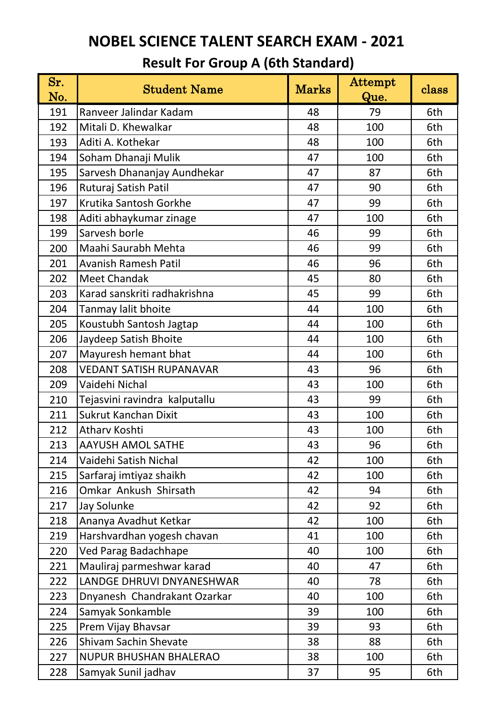| Sr.<br>No. | <b>Student Name</b>            | <b>Marks</b> | <b>Attempt</b><br>Que. | class |
|------------|--------------------------------|--------------|------------------------|-------|
| 191        | Ranveer Jalindar Kadam         | 48           | 79                     | 6th   |
| 192        | Mitali D. Khewalkar            | 48           | 100                    | 6th   |
| 193        | Aditi A. Kothekar              | 48           | 100                    | 6th   |
| 194        | Soham Dhanaji Mulik            | 47           | 100                    | 6th   |
| 195        | Sarvesh Dhananjay Aundhekar    | 47           | 87                     | 6th   |
| 196        | Ruturaj Satish Patil           | 47           | 90                     | 6th   |
| 197        | Krutika Santosh Gorkhe         | 47           | 99                     | 6th   |
| 198        | Aditi abhaykumar zinage        | 47           | 100                    | 6th   |
| 199        | Sarvesh borle                  | 46           | 99                     | 6th   |
| 200        | Maahi Saurabh Mehta            | 46           | 99                     | 6th   |
| 201        | <b>Avanish Ramesh Patil</b>    | 46           | 96                     | 6th   |
| 202        | <b>Meet Chandak</b>            | 45           | 80                     | 6th   |
| 203        | Karad sanskriti radhakrishna   | 45           | 99                     | 6th   |
| 204        | Tanmay lalit bhoite            | 44           | 100                    | 6th   |
| 205        | Koustubh Santosh Jagtap        | 44           | 100                    | 6th   |
| 206        | Jaydeep Satish Bhoite          | 44           | 100                    | 6th   |
| 207        | Mayuresh hemant bhat           | 44           | 100                    | 6th   |
| 208        | <b>VEDANT SATISH RUPANAVAR</b> | 43           | 96                     | 6th   |
| 209        | Vaidehi Nichal                 | 43           | 100                    | 6th   |
| 210        | Tejasvini ravindra kalputallu  | 43           | 99                     | 6th   |
| 211        | <b>Sukrut Kanchan Dixit</b>    | 43           | 100                    | 6th   |
| 212        | Athary Koshti                  | 43           | 100                    | 6th   |
| 213        | <b>AAYUSH AMOL SATHE</b>       | 43           | 96                     | 6th   |
| 214        | Vaidehi Satish Nichal          | 42           | 100                    | 6th   |
| 215        | Sarfaraj imtiyaz shaikh        | 42           | 100                    | 6th   |
| 216        | Omkar Ankush Shirsath          | 42           | 94                     | 6th   |
| 217        | Jay Solunke                    | 42           | 92                     | 6th   |
| 218        | Ananya Avadhut Ketkar          | 42           | 100                    | 6th   |
| 219        | Harshvardhan yogesh chavan     | 41           | 100                    | 6th   |
| 220        | <b>Ved Parag Badachhape</b>    | 40           | 100                    | 6th   |
| 221        | Mauliraj parmeshwar karad      | 40           | 47                     | 6th   |
| 222        | LANDGE DHRUVI DNYANESHWAR      | 40           | 78                     | 6th   |
| 223        | Dnyanesh Chandrakant Ozarkar   | 40           | 100                    | 6th   |
| 224        | Samyak Sonkamble               | 39           | 100                    | 6th   |
| 225        | Prem Vijay Bhavsar             | 39           | 93                     | 6th   |
| 226        | <b>Shivam Sachin Shevate</b>   | 38           | 88                     | 6th   |
| 227        | <b>NUPUR BHUSHAN BHALERAO</b>  | 38           | 100                    | 6th   |
| 228        | Samyak Sunil jadhav            | 37           | 95                     | 6th   |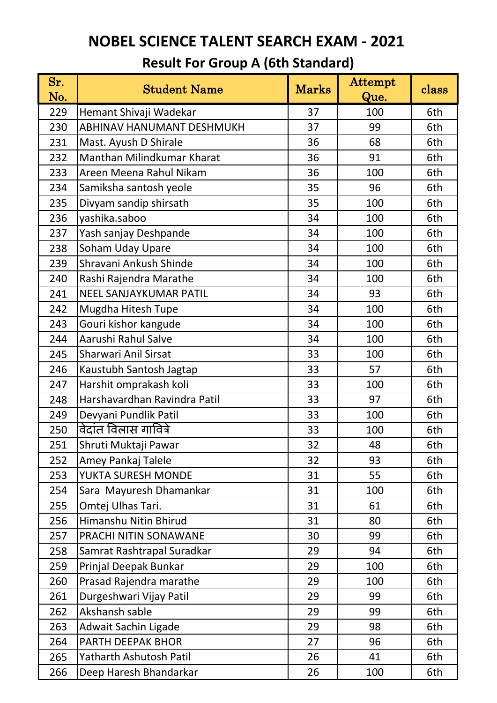| Sr.<br>No. | <b>Student Name</b>              | <b>Marks</b> | Attempt<br>Que. | class |
|------------|----------------------------------|--------------|-----------------|-------|
| 229        | Hemant Shivaji Wadekar           | 37           | 100             | 6th   |
| 230        | <b>ABHINAV HANUMANT DESHMUKH</b> | 37           | 99              | 6th   |
| 231        | Mast. Ayush D Shirale            | 36           | 68              | 6th   |
| 232        | Manthan Milindkumar Kharat       | 36           | 91              | 6th   |
| 233        | Areen Meena Rahul Nikam          | 36           | 100             | 6th   |
| 234        | Samiksha santosh yeole           | 35           | 96              | 6th   |
| 235        | Divyam sandip shirsath           | 35           | 100             | 6th   |
| 236        | yashika.saboo                    | 34           | 100             | 6th   |
| 237        | Yash sanjay Deshpande            | 34           | 100             | 6th   |
| 238        | Soham Uday Upare                 | 34           | 100             | 6th   |
| 239        | Shravani Ankush Shinde           | 34           | 100             | 6th   |
| 240        | Rashi Rajendra Marathe           | 34           | 100             | 6th   |
| 241        | NEEL SANJAYKUMAR PATIL           | 34           | 93              | 6th   |
| 242        | Mugdha Hitesh Tupe               | 34           | 100             | 6th   |
| 243        | Gouri kishor kangude             | 34           | 100             | 6th   |
| 244        | Aarushi Rahul Salve              | 34           | 100             | 6th   |
| 245        | <b>Sharwari Anil Sirsat</b>      | 33           | 100             | 6th   |
| 246        | Kaustubh Santosh Jagtap          | 33           | 57              | 6th   |
| 247        | Harshit omprakash koli           | 33           | 100             | 6th   |
| 248        | Harshavardhan Ravindra Patil     | 33           | 97              | 6th   |
| 249        | Devyani Pundlik Patil            | 33           | 100             | 6th   |
| 250        | वेदांत विलास गावित्रे            | 33           | 100             | 6th   |
| 251        | Shruti Muktaji Pawar             | 32           | 48              | 6th   |
| 252        | Amey Pankaj Talele               | 32           | 93              | 6th   |
| 253        | YUKTA SURESH MONDE               | 31           | 55              | 6th   |
| 254        | Sara Mayuresh Dhamankar          | 31           | 100             | 6th   |
| 255        | Omtej Ulhas Tari.                | 31           | 61              | 6th   |
| 256        | Himanshu Nitin Bhirud            | 31           | 80              | 6th   |
| 257        | PRACHI NITIN SONAWANE            | 30           | 99              | 6th   |
| 258        | Samrat Rashtrapal Suradkar       | 29           | 94              | 6th   |
| 259        | Prinjal Deepak Bunkar            | 29           | 100             | 6th   |
| 260        | Prasad Rajendra marathe          | 29           | 100             | 6th   |
| 261        | Durgeshwari Vijay Patil          | 29           | 99              | 6th   |
| 262        | Akshansh sable                   | 29           | 99              | 6th   |
| 263        | Adwait Sachin Ligade             | 29           | 98              | 6th   |
| 264        | PARTH DEEPAK BHOR                | 27           | 96              | 6th   |
| 265        | <b>Yatharth Ashutosh Patil</b>   | 26           | 41              | 6th   |
| 266        | Deep Haresh Bhandarkar           | 26           | 100             | 6th   |